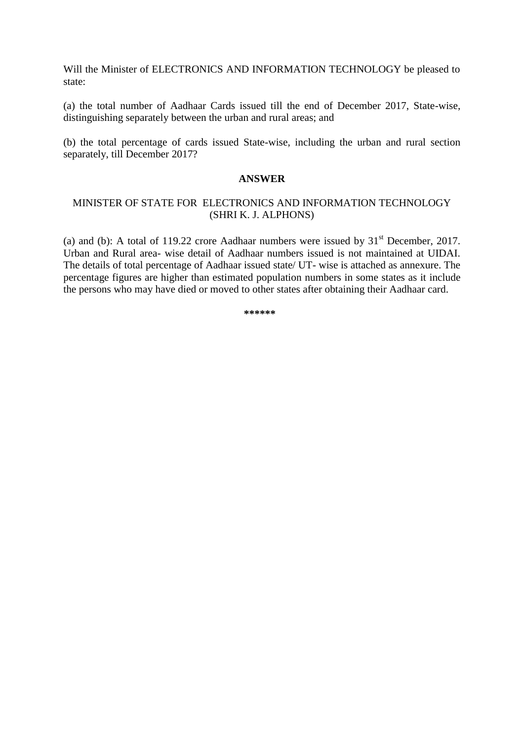Will the Minister of ELECTRONICS AND INFORMATION TECHNOLOGY be pleased to state:

(a) the total number of Aadhaar Cards issued till the end of December 2017, State-wise, distinguishing separately between the urban and rural areas; and

(b) the total percentage of cards issued State-wise, including the urban and rural section separately, till December 2017?

## **ANSWER**

## MINISTER OF STATE FOR ELECTRONICS AND INFORMATION TECHNOLOGY (SHRI K. J. ALPHONS)

(a) and (b): A total of 119.22 crore Aadhaar numbers were issued by  $31<sup>st</sup>$  December, 2017. Urban and Rural area- wise detail of Aadhaar numbers issued is not maintained at UIDAI. The details of total percentage of Aadhaar issued state/ UT- wise is attached as annexure. The percentage figures are higher than estimated population numbers in some states as it include the persons who may have died or moved to other states after obtaining their Aadhaar card.

**\*\*\*\*\*\***